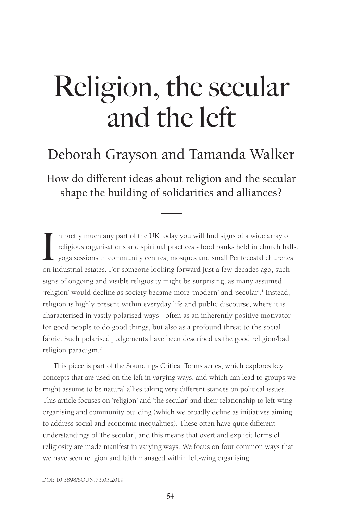# Deborah Grayson and Tamanda Walker

How do different ideas about religion and the secular shape the building of solidarities and alliances?

In pretty much any part of the UK today you will find signs of a wide array of religious organisations and spiritual practices - food banks held in church hal yoga sessions in community centres, mosques and small Pentecost n pretty much any part of the UK today you will find signs of a wide array of religious organisations and spiritual practices - food banks held in church halls, yoga sessions in community centres, mosques and small Pentecostal churches signs of ongoing and visible religiosity might be surprising, as many assumed 'religion' would decline as society became more 'modern' and 'secular'.<sup>1</sup> Instead, religion is highly present within everyday life and public discourse, where it is characterised in vastly polarised ways - often as an inherently positive motivator for good people to do good things, but also as a profound threat to the social fabric. Such polarised judgements have been described as the good religion/bad religion paradigm.<sup>2</sup>

This piece is part of the Soundings Critical Terms series, which explores key concepts that are used on the left in varying ways, and which can lead to groups we might assume to be natural allies taking very different stances on political issues. This article focuses on 'religion' and 'the secular' and their relationship to left-wing organising and community building (which we broadly define as initiatives aiming to address social and economic inequalities). These often have quite different understandings of 'the secular', and this means that overt and explicit forms of religiosity are made manifest in varying ways. We focus on four common ways that we have seen religion and faith managed within left-wing organising.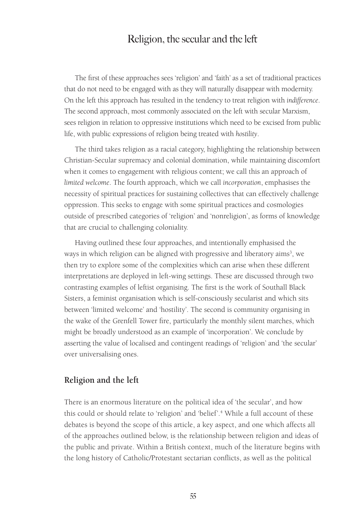The first of these approaches sees 'religion' and 'faith' as a set of traditional practices that do not need to be engaged with as they will naturally disappear with modernity. On the left this approach has resulted in the tendency to treat religion with *indifference*. The second approach, most commonly associated on the left with secular Marxism, sees religion in relation to oppressive institutions which need to be excised from public life, with public expressions of religion being treated with *hostility*.

The third takes religion as a racial category, highlighting the relationship between Christian-Secular supremacy and colonial domination, while maintaining discomfort when it comes to engagement with religious content; we call this an approach of *limited welcome*. The fourth approach, which we call *incorporation*, emphasises the necessity of spiritual practices for sustaining collectives that can effectively challenge oppression. This seeks to engage with some spiritual practices and cosmologies outside of prescribed categories of 'religion' and 'nonreligion', as forms of knowledge that are crucial to challenging coloniality.

Having outlined these four approaches, and intentionally emphasised the ways in which religion can be aligned with progressive and liberatory aims<sup>3</sup>, we then try to explore some of the complexities which can arise when these different interpretations are deployed in left-wing settings. These are discussed through two contrasting examples of leftist organising. The first is the work of Southall Black Sisters, a feminist organisation which is self-consciously secularist and which sits between 'limited welcome' and 'hostility'. The second is community organising in the wake of the Grenfell Tower fire, particularly the monthly silent marches, which might be broadly understood as an example of 'incorporation'. We conclude by asserting the value of localised and contingent readings of 'religion' and 'the secular' over universalising ones.

#### **Religion and the left**

There is an enormous literature on the political idea of 'the secular', and how this could or should relate to 'religion' and 'belief'.<sup>4</sup> While a full account of these debates is beyond the scope of this article, a key aspect, and one which affects all of the approaches outlined below, is the relationship between religion and ideas of the public and private. Within a British context, much of the literature begins with the long history of Catholic/Protestant sectarian conflicts, as well as the political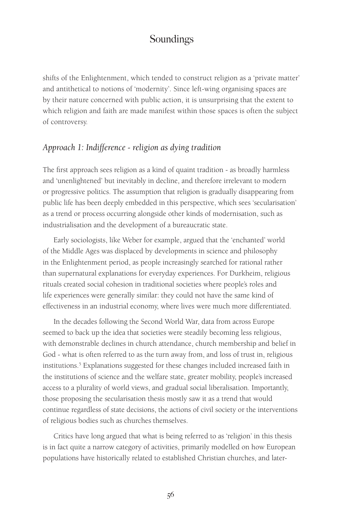shifts of the Enlightenment, which tended to construct religion as a 'private matter' and antithetical to notions of 'modernity'. Since left-wing organising spaces are by their nature concerned with public action, it is unsurprising that the extent to which religion and faith are made manifest within those spaces is often the subject of controversy.

#### *Approach 1: Indifference - religion as dying tradition*

The first approach sees religion as a kind of quaint tradition - as broadly harmless and 'unenlightened' but inevitably in decline, and therefore irrelevant to modern or progressive politics. The assumption that religion is gradually disappearing from public life has been deeply embedded in this perspective, which sees 'secularisation' as a trend or process occurring alongside other kinds of modernisation, such as industrialisation and the development of a bureaucratic state.

Early sociologists, like Weber for example, argued that the 'enchanted' world of the Middle Ages was displaced by developments in science and philosophy in the Enlightenment period, as people increasingly searched for rational rather than supernatural explanations for everyday experiences. For Durkheim, religious rituals created social cohesion in traditional societies where people's roles and life experiences were generally similar: they could not have the same kind of effectiveness in an industrial economy, where lives were much more differentiated.

In the decades following the Second World War, data from across Europe seemed to back up the idea that societies were steadily becoming less religious, with demonstrable declines in church attendance, church membership and belief in God - what is often referred to as the turn away from, and loss of trust in, religious institutions.<sup>5</sup> Explanations suggested for these changes included increased faith in the institutions of science and the welfare state, greater mobility, people's increased access to a plurality of world views, and gradual social liberalisation. Importantly, those proposing the secularisation thesis mostly saw it as a trend that would continue regardless of state decisions, the actions of civil society or the interventions of religious bodies such as churches themselves.

Critics have long argued that what is being referred to as 'religion' in this thesis is in fact quite a narrow category of activities, primarily modelled on how European populations have historically related to established Christian churches, and later-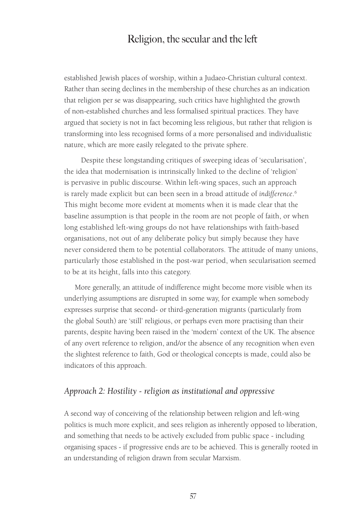established Jewish places of worship, within a Judaeo-Christian cultural context. Rather than seeing declines in the membership of these churches as an indication that religion per se was disappearing, such critics have highlighted the growth of non-established churches and less formalised spiritual practices. They have argued that society is not in fact becoming less religious, but rather that religion is transforming into less recognised forms of a more personalised and individualistic nature, which are more easily relegated to the private sphere.

 Despite these longstanding critiques of sweeping ideas of 'secularisation', the idea that modernisation is intrinsically linked to the decline of 'religion' is pervasive in public discourse. Within left-wing spaces, such an approach is rarely made explicit but can been seen in a broad attitude of *indifference*. 6 This might become more evident at moments when it is made clear that the baseline assumption is that people in the room are not people of faith, or when long established left-wing groups do not have relationships with faith-based organisations, not out of any deliberate policy but simply because they have never considered them to be potential collaborators. The attitude of many unions, particularly those established in the post-war period, when secularisation seemed to be at its height, falls into this category.

More generally, an attitude of indifference might become more visible when its underlying assumptions are disrupted in some way, for example when somebody expresses surprise that second- or third-generation migrants (particularly from the global South) are 'still' religious, or perhaps even more practising than their parents, despite having been raised in the 'modern' context of the UK. The absence of any overt reference to religion, and/or the absence of any recognition when even the slightest reference to faith, God or theological concepts is made, could also be indicators of this approach.

#### *Approach 2: Hostility - religion as institutional and oppressive*

A second way of conceiving of the relationship between religion and left-wing politics is much more explicit, and sees religion as inherently opposed to liberation, and something that needs to be actively excluded from public space - including organising spaces - if progressive ends are to be achieved. This is generally rooted in an understanding of religion drawn from secular Marxism.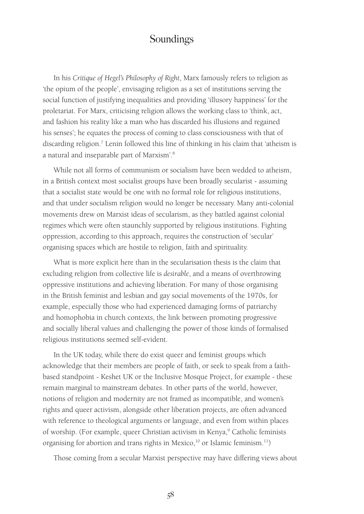In his *Critique of Hegel's Philosophy of Right*, Marx famously refers to religion as 'the opium of the people', envisaging religion as a set of institutions serving the social function of justifying inequalities and providing 'illusory happiness' for the proletariat. For Marx, criticising religion allows the working class to 'think, act, and fashion his reality like a man who has discarded his illusions and regained his senses'; he equates the process of coming to class consciousness with that of discarding religion.<sup>7</sup> Lenin followed this line of thinking in his claim that 'atheism is a natural and inseparable part of Marxism'.<sup>8</sup>

While not all forms of communism or socialism have been wedded to atheism, in a British context most socialist groups have been broadly secularist - assuming that a socialist state would be one with no formal role for religious institutions, and that under socialism religion would no longer be necessary. Many anti-colonial movements drew on Marxist ideas of secularism, as they battled against colonial regimes which were often staunchly supported by religious institutions. Fighting oppression, according to this approach, requires the construction of 'secular' organising spaces which are hostile to religion, faith and spirituality.

What is more explicit here than in the secularisation thesis is the claim that excluding religion from collective life is *desirable*, and a means of overthrowing oppressive institutions and achieving liberation. For many of those organising in the British feminist and lesbian and gay social movements of the 1970s, for example, especially those who had experienced damaging forms of patriarchy and homophobia in church contexts, the link between promoting progressive and socially liberal values and challenging the power of those kinds of formalised religious institutions seemed self-evident.

In the UK today, while there do exist queer and feminist groups which acknowledge that their members are people of faith, or seek to speak from a faithbased standpoint - Keshet UK or the Inclusive Mosque Project, for example - these remain marginal to mainstream debates. In other parts of the world, however, notions of religion and modernity are not framed as incompatible, and women's rights and queer activism, alongside other liberation projects, are often advanced with reference to theological arguments or language, and even from within places of worship. (For example, queer Christian activism in Kenya,<sup>9</sup> Catholic feminists organising for abortion and trans rights in Mexico, $10$  or Islamic feminism.<sup>11</sup>)

Those coming from a secular Marxist perspective may have differing views about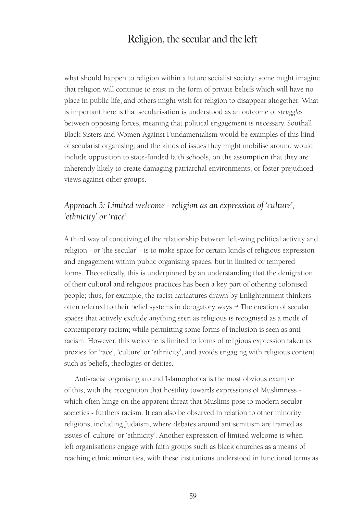what should happen to religion within a future socialist society: some might imagine that religion will continue to exist in the form of private beliefs which will have no place in public life, and others might wish for religion to disappear altogether. What is important here is that secularisation is understood as an outcome of *struggles* between opposing forces, meaning that political engagement is necessary. Southall Black Sisters and Women Against Fundamentalism would be examples of this kind of secularist organising; and the kinds of issues they might mobilise around would include opposition to state-funded faith schools, on the assumption that they are inherently likely to create damaging patriarchal environments, or foster prejudiced views against other groups.

#### *Approach 3: Limited welcome - religion as an expression of 'culture', 'ethnicity' or 'race'*

A third way of conceiving of the relationship between left-wing political activity and religion - or 'the secular' - is to make space for certain kinds of religious expression and engagement within public organising spaces, but in limited or tempered forms. Theoretically, this is underpinned by an understanding that the denigration of their cultural and religious practices has been a key part of othering colonised people; thus, for example, the racist caricatures drawn by Enlightenment thinkers often referred to their belief systems in derogatory ways.<sup>12</sup> The creation of secular spaces that actively exclude anything seen as religious is recognised as a mode of contemporary racism; while permitting some forms of inclusion is seen as antiracism. However, this welcome is limited to forms of religious expression taken as proxies for 'race', 'culture' or 'ethnicity', and avoids engaging with religious content such as beliefs, theologies or deities.

Anti-racist organising around Islamophobia is the most obvious example of this, with the recognition that hostility towards expressions of Muslimness which often hinge on the apparent threat that Muslims pose to modern secular societies - furthers racism. It can also be observed in relation to other minority religions, including Judaism, where debates around antisemitism are framed as issues of 'culture' or 'ethnicity'. Another expression of limited welcome is when left organisations engage with faith groups such as black churches as a means of reaching ethnic minorities, with these institutions understood in functional terms as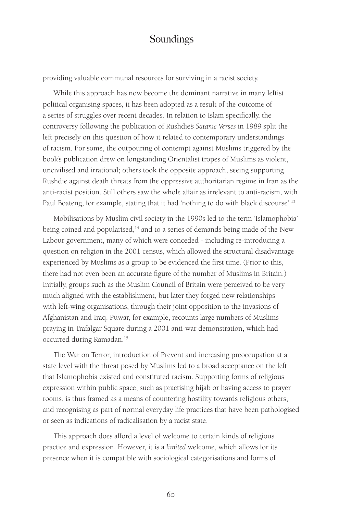providing valuable communal resources for surviving in a racist society.

While this approach has now become the dominant narrative in many leftist political organising spaces, it has been adopted as a result of the outcome of a series of struggles over recent decades. In relation to Islam specifically, the controversy following the publication of Rushdie's *Satanic Verses* in 1989 split the left precisely on this question of how it related to contemporary understandings of racism. For some, the outpouring of contempt against Muslims triggered by the book's publication drew on longstanding Orientalist tropes of Muslims as violent, uncivilised and irrational; others took the opposite approach, seeing supporting Rushdie against death threats from the oppressive authoritarian regime in Iran as the anti-racist position. Still others saw the whole affair as irrelevant to anti-racism, with Paul Boateng, for example, stating that it had 'nothing to do with black discourse'.<sup>13</sup>

Mobilisations by Muslim civil society in the 1990s led to the term 'Islamophobia' being coined and popularised,<sup>14</sup> and to a series of demands being made of the New Labour government, many of which were conceded - including re-introducing a question on religion in the 2001 census, which allowed the structural disadvantage experienced by Muslims as a group to be evidenced the first time. (Prior to this, there had not even been an accurate figure of the number of Muslims in Britain.) Initially, groups such as the Muslim Council of Britain were perceived to be very much aligned with the establishment, but later they forged new relationships with left-wing organisations, through their joint opposition to the invasions of Afghanistan and Iraq. Puwar, for example, recounts large numbers of Muslims praying in Trafalgar Square during a 2001 anti-war demonstration, which had occurred during Ramadan.<sup>15</sup>

The War on Terror, introduction of Prevent and increasing preoccupation at a state level with the threat posed by Muslims led to a broad acceptance on the left that Islamophobia existed and constituted racism. Supporting forms of religious expression within public space, such as practising hijab or having access to prayer rooms, is thus framed as a means of countering hostility towards religious others, and recognising as part of normal everyday life practices that have been pathologised or seen as indications of radicalisation by a racist state.

This approach does afford a level of welcome to certain kinds of religious practice and expression. However, it is a *limited* welcome, which allows for its presence when it is compatible with sociological categorisations and forms of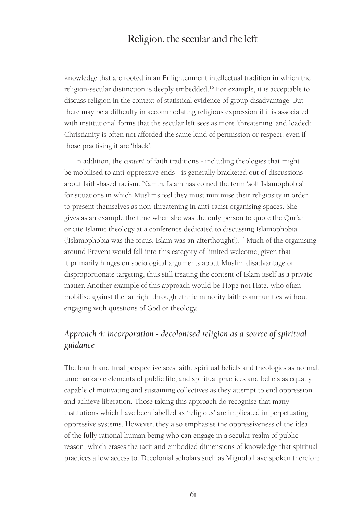knowledge that are rooted in an Enlightenment intellectual tradition in which the religion-secular distinction is deeply embedded.<sup>16</sup> For example, it is acceptable to discuss religion in the context of statistical evidence of group disadvantage. But there may be a difficulty in accommodating religious expression if it is associated with institutional forms that the secular left sees as more 'threatening' and loaded: Christianity is often not afforded the same kind of permission or respect, even if those practising it are 'black'.

In addition, the *content* of faith traditions - including theologies that might be mobilised to anti-oppressive ends - is generally bracketed out of discussions about faith-based racism. Namira Islam has coined the term 'soft Islamophobia' for situations in which Muslims feel they must minimise their religiosity in order to present themselves as non-threatening in anti-racist organising spaces. She gives as an example the time when she was the only person to quote the Qur'an or cite Islamic theology at a conference dedicated to discussing Islamophobia ('Islamophobia was the focus. Islam was an afterthought').<sup>17</sup> Much of the organising around Prevent would fall into this category of limited welcome, given that it primarily hinges on sociological arguments about Muslim disadvantage or disproportionate targeting, thus still treating the content of Islam itself as a private matter. Another example of this approach would be Hope not Hate, who often mobilise against the far right through ethnic minority faith communities without engaging with questions of God or theology.

#### *Approach 4: incorporation - decolonised religion as a source of spiritual guidance*

The fourth and final perspective sees faith, spiritual beliefs and theologies as normal, unremarkable elements of public life, and spiritual practices and beliefs as equally capable of motivating and sustaining collectives as they attempt to end oppression and achieve liberation. Those taking this approach do recognise that many institutions which have been labelled as 'religious' are implicated in perpetuating oppressive systems. However, they also emphasise the oppressiveness of the idea of the fully rational human being who can engage in a secular realm of public reason, which erases the tacit and embodied dimensions of knowledge that spiritual practices allow access to. Decolonial scholars such as Mignolo have spoken therefore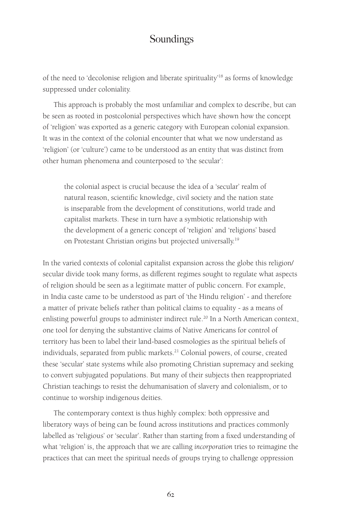of the need to 'decolonise religion and liberate spirituality'<sup>18</sup> as forms of knowledge suppressed under coloniality.

This approach is probably the most unfamiliar and complex to describe, but can be seen as rooted in postcolonial perspectives which have shown how the concept of 'religion' was exported as a generic category with European colonial expansion. It was in the context of the colonial encounter that what we now understand as 'religion' (or 'culture') came to be understood as an entity that was distinct from other human phenomena and counterposed to 'the secular':

the colonial aspect is crucial because the idea of a 'secular' realm of natural reason, scientific knowledge, civil society and the nation state is inseparable from the development of constitutions, world trade and capitalist markets. These in turn have a symbiotic relationship with the development of a generic concept of 'religion' and 'religions' based on Protestant Christian origins but projected universally.<sup>19</sup>

In the varied contexts of colonial capitalist expansion across the globe this religion/ secular divide took many forms, as different regimes sought to regulate what aspects of religion should be seen as a legitimate matter of public concern. For example, in India caste came to be understood as part of 'the Hindu religion' - and therefore a matter of private beliefs rather than political claims to equality - as a means of enlisting powerful groups to administer indirect rule.<sup>20</sup> In a North American context, one tool for denying the substantive claims of Native Americans for control of territory has been to label their land-based cosmologies as the spiritual beliefs of individuals, separated from public markets.<sup>21</sup> Colonial powers, of course, created these 'secular' state systems while also promoting Christian supremacy and seeking to convert subjugated populations. But many of their subjects then reappropriated Christian teachings to resist the dehumanisation of slavery and colonialism, or to continue to worship indigenous deities.

The contemporary context is thus highly complex: both oppressive and liberatory ways of being can be found across institutions and practices commonly labelled as 'religious' or 'secular'. Rather than starting from a fixed understanding of what 'religion' is, the approach that we are calling *incorporation* tries to reimagine the practices that can meet the spiritual needs of groups trying to challenge oppression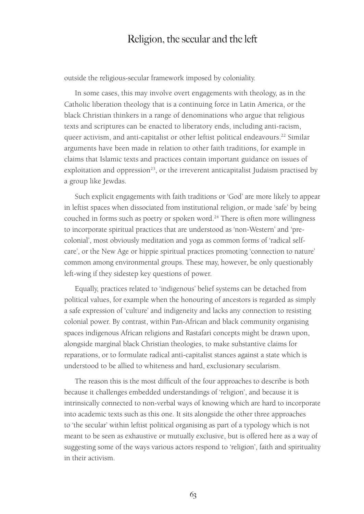outside the religious-secular framework imposed by coloniality.

In some cases, this may involve overt engagements with theology, as in the Catholic liberation theology that is a continuing force in Latin America, or the black Christian thinkers in a range of denominations who argue that religious texts and scriptures can be enacted to liberatory ends, including anti-racism, queer activism, and anti-capitalist or other leftist political endeavours.<sup>22</sup> Similar arguments have been made in relation to other faith traditions, for example in claims that Islamic texts and practices contain important guidance on issues of exploitation and oppression<sup>23</sup>, or the irreverent anticapitalist Judaism practised by a group like Jewdas.

Such explicit engagements with faith traditions or 'God' are more likely to appear in leftist spaces when dissociated from institutional religion, or made 'safe' by being couched in forms such as poetry or spoken word.<sup>24</sup> There is often more willingness to incorporate spiritual practices that are understood as 'non-Western' and 'precolonial', most obviously meditation and yoga as common forms of 'radical selfcare', or the New Age or hippie spiritual practices promoting 'connection to nature' common among environmental groups. These may, however, be only questionably left-wing if they sidestep key questions of power.

Equally, practices related to 'indigenous' belief systems can be detached from political values, for example when the honouring of ancestors is regarded as simply a safe expression of 'culture' and indigeneity and lacks any connection to resisting colonial power. By contrast, within Pan-African and black community organising spaces indigenous African religions and Rastafari concepts might be drawn upon, alongside marginal black Christian theologies, to make substantive claims for reparations, or to formulate radical anti-capitalist stances against a state which is understood to be allied to whiteness and hard, exclusionary secularism.

The reason this is the most difficult of the four approaches to describe is both because it challenges embedded understandings of 'religion', and because it is intrinsically connected to non-verbal ways of knowing which are hard to incorporate into academic texts such as this one. It sits alongside the other three approaches to 'the secular' within leftist political organising as part of a typology which is not meant to be seen as exhaustive or mutually exclusive, but is offered here as a way of suggesting some of the ways various actors respond to 'religion', faith and spirituality in their activism.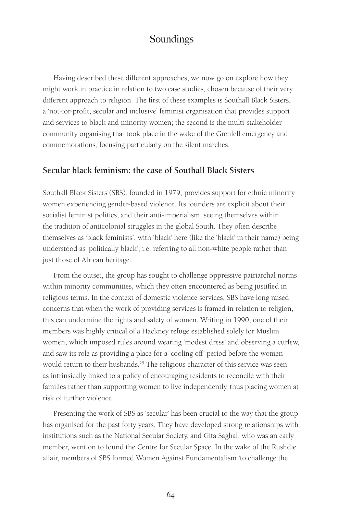Having described these different approaches, we now go on explore how they might work in practice in relation to two case studies, chosen because of their very different approach to religion. The first of these examples is Southall Black Sisters, a 'not-for-profit, secular and inclusive' feminist organisation that provides support and services to black and minority women; the second is the multi-stakeholder community organising that took place in the wake of the Grenfell emergency and commemorations, focusing particularly on the silent marches.

#### **Secular black feminism: the case of Southall Black Sisters**

Southall Black Sisters (SBS), founded in 1979, provides support for ethnic minority women experiencing gender-based violence. Its founders are explicit about their socialist feminist politics, and their anti-imperialism, seeing themselves within the tradition of anticolonial struggles in the global South. They often describe themselves as 'black feminists', with 'black' here (like the 'black' in their name) being understood as 'politically black', i.e. referring to all non-white people rather than just those of African heritage.

From the outset, the group has sought to challenge oppressive patriarchal norms within minority communities, which they often encountered as being justified in religious terms. In the context of domestic violence services, SBS have long raised concerns that when the work of providing services is framed in relation to religion, this can undermine the rights and safety of women. Writing in 1990, one of their members was highly critical of a Hackney refuge established solely for Muslim women, which imposed rules around wearing 'modest dress' and observing a curfew, and saw its role as providing a place for a 'cooling off' period before the women would return to their husbands.<sup>25</sup> The religious character of this service was seen as intrinsically linked to a policy of encouraging residents to reconcile with their families rather than supporting women to live independently, thus placing women at risk of further violence.

Presenting the work of SBS as 'secular' has been crucial to the way that the group has organised for the past forty years. They have developed strong relationships with institutions such as the National Secular Society, and Gita Saghal, who was an early member, went on to found the Centre for Secular Space. In the wake of the Rushdie affair, members of SBS formed Women Against Fundamentalism 'to challenge the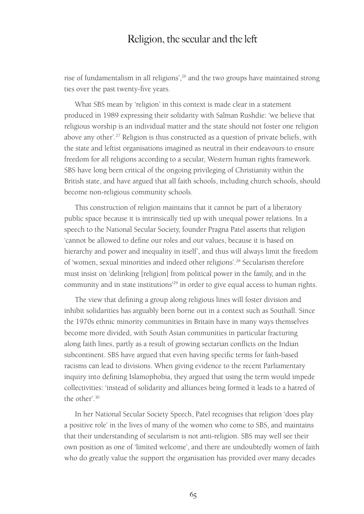rise of fundamentalism in all religions',<sup>26</sup> and the two groups have maintained strong ties over the past twenty-five years.

What SBS mean by 'religion' in this context is made clear in a statement produced in 1989 expressing their solidarity with Salman Rushdie: 'we believe that religious worship is an individual matter and the state should not foster one religion above any other'.<sup>27</sup> Religion is thus constructed as a question of private beliefs, with the state and leftist organisations imagined as neutral in their endeavours to ensure freedom for all religions according to a secular, Western human rights framework. SBS have long been critical of the ongoing privileging of Christianity within the British state, and have argued that all faith schools, including church schools, should become non-religious community schools.

This construction of religion maintains that it cannot be part of a liberatory public space because it is intrinsically tied up with unequal power relations. In a speech to the National Secular Society, founder Pragna Patel asserts that religion 'cannot be allowed to define our roles and our values, because it is based on hierarchy and power and inequality in itself', and thus will always limit the freedom of 'women, sexual minorities and indeed other religions'.<sup>28</sup> Secularism therefore must insist on 'delinking [religion] from political power in the family, and in the community and in state institutions<sup>29</sup> in order to give equal access to human rights.

The view that defining a group along religious lines will foster division and inhibit solidarities has arguably been borne out in a context such as Southall. Since the 1970s ethnic minority communities in Britain have in many ways themselves become more divided, with South Asian communities in particular fracturing along faith lines, partly as a result of growing sectarian conflicts on the Indian subcontinent. SBS have argued that even having specific terms for faith-based racisms can lead to divisions. When giving evidence to the recent Parliamentary inquiry into defining Islamophobia, they argued that using the term would impede collectivities: 'instead of solidarity and alliances being formed it leads to a hatred of the other'.<sup>30</sup>

In her National Secular Society Speech, Patel recognises that religion 'does play a positive role' in the lives of many of the women who come to SBS, and maintains that their understanding of secularism is not anti-religion. SBS may well see their own position as one of 'limited welcome', and there are undoubtedly women of faith who do greatly value the support the organisation has provided over many decades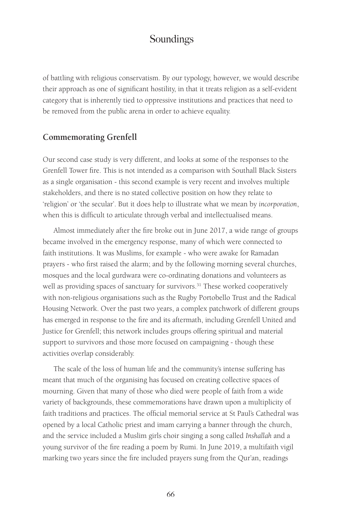of battling with religious conservatism. By our typology, however, we would describe their approach as one of significant hostility, in that it treats religion as a self-evident category that is inherently tied to oppressive institutions and practices that need to be removed from the public arena in order to achieve equality.

#### **Commemorating Grenfell**

Our second case study is very different, and looks at some of the responses to the Grenfell Tower fire. This is not intended as a comparison with Southall Black Sisters as a single organisation - this second example is very recent and involves multiple stakeholders, and there is no stated collective position on how they relate to 'religion' or 'the secular'. But it does help to illustrate what we mean by *incorporation*, when this is difficult to articulate through verbal and intellectualised means.

Almost immediately after the fire broke out in June 2017, a wide range of groups became involved in the emergency response, many of which were connected to faith institutions. It was Muslims, for example - who were awake for Ramadan prayers - who first raised the alarm; and by the following morning several churches, mosques and the local gurdwara were co-ordinating donations and volunteers as well as providing spaces of sanctuary for survivors.<sup>31</sup> These worked cooperatively with non-religious organisations such as the Rugby Portobello Trust and the Radical Housing Network. Over the past two years, a complex patchwork of different groups has emerged in response to the fire and its aftermath, including Grenfell United and Justice for Grenfell; this network includes groups offering spiritual and material support to survivors and those more focused on campaigning - though these activities overlap considerably.

The scale of the loss of human life and the community's intense suffering has meant that much of the organising has focused on creating collective spaces of mourning. Given that many of those who died were people of faith from a wide variety of backgrounds, these commemorations have drawn upon a multiplicity of faith traditions and practices. The official memorial service at St Paul's Cathedral was opened by a local Catholic priest and imam carrying a banner through the church, and the service included a Muslim girls choir singing a song called *Inshallah* and a young survivor of the fire reading a poem by Rumi. In June 2019, a multifaith vigil marking two years since the fire included prayers sung from the Qur'an, readings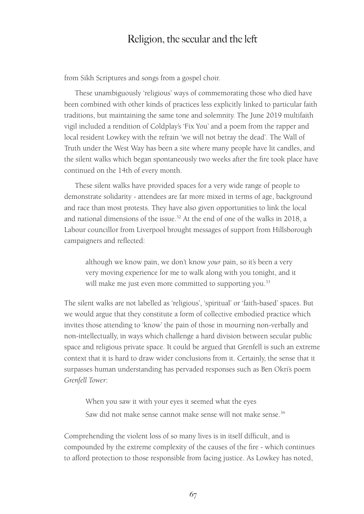from Sikh Scriptures and songs from a gospel choir.

These unambiguously 'religious' ways of commemorating those who died have been combined with other kinds of practices less explicitly linked to particular faith traditions, but maintaining the same tone and solemnity. The June 2019 multifaith vigil included a rendition of Coldplay's 'Fix You' and a poem from the rapper and local resident Lowkey with the refrain 'we will not betray the dead'. The Wall of Truth under the West Way has been a site where many people have lit candles, and the silent walks which began spontaneously two weeks after the fire took place have continued on the 14th of every month.

These silent walks have provided spaces for a very wide range of people to demonstrate solidarity - attendees are far more mixed in terms of age, background and race than most protests. They have also given opportunities to link the local and national dimensions of the issue.<sup>32</sup> At the end of one of the walks in 2018, a Labour councillor from Liverpool brought messages of support from Hillsborough campaigners and reflected:

although we know pain, we don't know *your* pain, so it's been a very very moving experience for me to walk along with you tonight, and it will make me just even more committed to supporting you.<sup>33</sup>

The silent walks are not labelled as 'religious', 'spiritual' or 'faith-based' spaces. But we would argue that they constitute a form of collective embodied practice which invites those attending to 'know' the pain of those in mourning non-verbally and non-intellectually, in ways which challenge a hard division between secular public space and religious private space. It could be argued that Grenfell is such an extreme context that it is hard to draw wider conclusions from it. Certainly, the sense that it surpasses human understanding has pervaded responses such as Ben Okri's poem *Grenfell Tower*:

When you saw it with your eyes it seemed what the eyes Saw did not make sense cannot make sense will not make sense.<sup>34</sup>

Comprehending the violent loss of so many lives is in itself difficult, and is compounded by the extreme complexity of the causes of the fire - which continues to afford protection to those responsible from facing justice. As Lowkey has noted,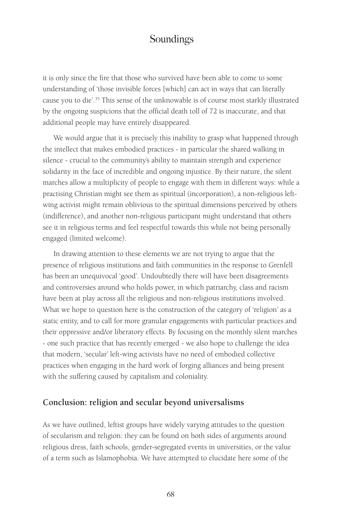it is only since the fire that those who survived have been able to come to some understanding of 'those invisible forces [which] can act in ways that can literally cause you to die'.<sup>35</sup> This sense of the unknowable is of course most starkly illustrated by the ongoing suspicions that the official death toll of 72 is inaccurate, and that additional people may have entirely disappeared.

We would argue that it is precisely this inability to grasp what happened through the intellect that makes embodied practices - in particular the shared walking in silence - crucial to the community's ability to maintain strength and experience solidarity in the face of incredible and ongoing injustice. By their nature, the silent marches allow a multiplicity of people to engage with them in different ways: while a practising Christian might see them as spiritual (incorporation), a non-religious leftwing activist might remain oblivious to the spiritual dimensions perceived by others (indifference), and another non-religious participant might understand that others see it in religious terms and feel respectful towards this while not being personally engaged (limited welcome).

In drawing attention to these elements we are not trying to argue that the presence of religious institutions and faith communities in the response to Grenfell has been an unequivocal 'good'. Undoubtedly there will have been disagreements and controversies around who holds power, in which patriarchy, class and racism have been at play across all the religious and non-religious institutions involved. What we hope to question here is the construction of the category of 'religion' as a static entity, and to call for more granular engagements with particular practices and their oppressive and/or liberatory effects. By focusing on the monthly silent marches - one such practice that has recently emerged - we also hope to challenge the idea that modern, 'secular' left-wing activists have no need of embodied collective practices when engaging in the hard work of forging alliances and being present with the suffering caused by capitalism and coloniality.

#### **Conclusion: religion and secular beyond universalisms**

As we have outlined, leftist groups have widely varying attitudes to the question of secularism and religion: they can be found on both sides of arguments around religious dress, faith schools, gender-segregated events in universities, or the value of a term such as Islamophobia. We have attempted to elucidate here some of the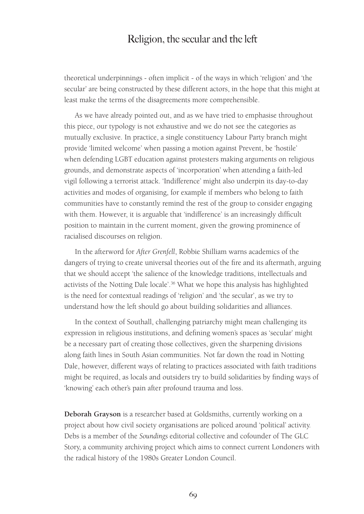theoretical underpinnings - often implicit - of the ways in which 'religion' and 'the secular' are being constructed by these different actors, in the hope that this might at least make the terms of the disagreements more comprehensible.

As we have already pointed out, and as we have tried to emphasise throughout this piece, our typology is not exhaustive and we do not see the categories as mutually exclusive. In practice, a single constituency Labour Party branch might provide 'limited welcome' when passing a motion against Prevent, be 'hostile' when defending LGBT education against protesters making arguments on religious grounds, and demonstrate aspects of 'incorporation' when attending a faith-led vigil following a terrorist attack. 'Indifference' might also underpin its day-to-day activities and modes of organising, for example if members who belong to faith communities have to constantly remind the rest of the group to consider engaging with them. However, it is arguable that 'indifference' is an increasingly difficult position to maintain in the current moment, given the growing prominence of racialised discourses on religion.

In the afterword for *After Grenfell*, Robbie Shilliam warns academics of the dangers of trying to create universal theories out of the fire and its aftermath, arguing that we should accept 'the salience of the knowledge traditions, intellectuals and activists of the Notting Dale locale'.<sup>36</sup> What we hope this analysis has highlighted is the need for contextual readings of 'religion' and 'the secular', as we try to understand how the left should go about building solidarities and alliances.

In the context of Southall, challenging patriarchy might mean challenging its expression in religious institutions, and defining women's spaces as 'secular' might be a necessary part of creating those collectives, given the sharpening divisions along faith lines in South Asian communities. Not far down the road in Notting Dale, however, different ways of relating to practices associated with faith traditions might be required, as locals and outsiders try to build solidarities by finding ways of 'knowing' each other's pain after profound trauma and loss.

**Deborah Grayson** is a researcher based at Goldsmiths, currently working on a project about how civil society organisations are policed around 'political' activity. Debs is a member of the *Soundings* editorial collective and cofounder of The GLC Story, a community archiving project which aims to connect current Londoners with the radical history of the 1980s Greater London Council.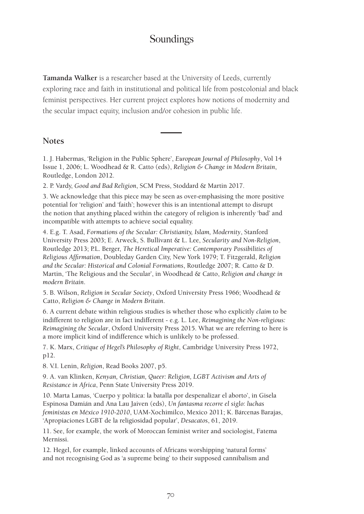**Tamanda Walker** is a researcher based at the University of Leeds, currently exploring race and faith in institutional and political life from postcolonial and black feminist perspectives. Her current project explores how notions of modernity and the secular impact equity, inclusion and/or cohesion in public life.

#### **Notes**

1. J. Habermas, 'Religion in the Public Sphere', *European Journal of Philosophy*, Vol 14 Issue 1, 2006; L. Woodhead & R. Catto (eds), *Religion & Change in Modern Britain*, Routledge, London 2012.

2. P. Vardy, *Good and Bad Religion*, SCM Press, Stoddard & Martin 2017.

3. We acknowledge that this piece may be seen as over-emphasising the more positive potential for 'religion' and 'faith'; however this is an intentional attempt to disrupt the notion that anything placed within the category of religion is inherently 'bad' and incompatible with attempts to achieve social equality.

4. E.g. T. Asad, *Formations of the Secular: Christianity, Islam, Modernity*, Stanford University Press 2003; E. Arweck, S. Bullivant & L. Lee, *Secularity and Non-Religion*, Routledge 2013; P.L. Berger, *The Heretical Imperative: Contemporary Possibilities of Religious Affirmation*, Doubleday Garden City, New York 1979; T. Fitzgerald, *Religion and the Secular: Historical and Colonial Formations*, Routledge 2007; R. Catto & D. Martin, 'The Religious and the Secular', in Woodhead & Catto, *Religion and change in modern Britain*.

5. B. Wilson, *Religion in Secular Society*, Oxford University Press 1966; Woodhead & Catto, *Religion & Change in Modern Britain*.

6. A current debate within religious studies is whether those who explicitly *claim* to be indifferent to religion are in fact indifferent - e.g. L. Lee, *Reimagining the Non-religious: Reimagining the Secular*, Oxford University Press 2015. What we are referring to here is a more implicit kind of indifference which is unlikely to be professed.

7. K. Marx, *Critique of Hegel's Philosophy of Right*, Cambridge University Press 1972, p12.

8. V.I. Lenin, *Religion*, Read Books 2007, p5.

9. A. van Klinken, *Kenyan, Christian, Queer: Religion, LGBT Activism and Arts of Resistance in Africa*, Penn State University Press 2019.

10. Marta Lamas, 'Cuerpo y política: la batalla por despenalizar el aborto', in Gisela Espinosa Damián and Ana Lau Jaiven (eds), *Un fantasma recorre el siglo: luchas feministas en México 1910-2010*, UAM-Xochimilco, Mexico 2011; K. Bárcenas Barajas, 'Apropiaciones LGBT de la religiosidad popular', *Desacatos*, 61, 2019.

11. See, for example, the work of Moroccan feminist writer and sociologist, Fatema Mernissi.

12. Hegel, for example, linked accounts of Africans worshipping 'natural forms' and not recognising God as 'a supreme being' to their supposed cannibalism and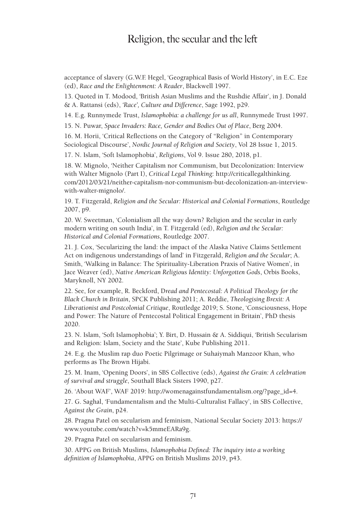acceptance of slavery (G.W.F. Hegel, 'Geographical Basis of World History', in E.C. Eze (ed), *Race and the Enlightenment: A Reader*, Blackwell 1997.

13. Quoted in T. Modood, 'British Asian Muslims and the Rushdie Affair', in J. Donald & A. Rattansi (eds), *'Race', Culture and Difference*, Sage 1992, p29.

14. E.g. Runnymede Trust, *Islamophobia: a challenge for us all*, Runnymede Trust 1997.

15. N. Puwar, *Space Invaders: Race, Gender and Bodies Out of Place*, Berg 2004.

16. M. Horii, 'Critical Reflections on the Category of "Religion" in Contemporary Sociological Discourse', *Nordic Journal of Religion and Society*, Vol 28 Issue 1, 2015.

17. N. Islam, 'Soft Islamophobia', *Religions*, Vol 9. Issue 280, 2018, p1.

18. W. Mignolo, 'Neither Capitalism nor Communism, but Decolonization: Interview with Walter Mignolo (Part I), *Critical Legal Thinking*: http://criticallegalthinking. com/2012/03/21/neither-capitalism-nor-communism-but-decolonization-an-interviewwith-walter-mignolo/.

19. T. Fitzgerald, *Religion and the Secular: Historical and Colonial Formations*, Routledge 2007, p9.

20. W. Sweetman, 'Colonialism all the way down? Religion and the secular in early modern writing on south India', in T. Fitzgerald (ed), *Religion and the Secular: Historical and Colonial Formations*, Routledge 2007.

21. J. Cox, 'Secularizing the land: the impact of the Alaska Native Claims Settlement Act on indigenous understandings of land' in Fitzgerald, *Religion and the Secular*; A. Smith, 'Walking in Balance: The Spirituality-Liberation Praxis of Native Women', in Jace Weaver (ed), *Native American Religious Identity: Unforgotten Gods*, Orbis Books, Maryknoll, NY 2002.

22. See, for example, R. Beckford, D*read and Pentecostal: A Political Theology for the Black Church in Britain*, SPCK Publishing 2011; A. Reddie, *Theologising Brexit: A Liberationist and Postcolonial Critique*, Routledge 2019; S. Stone, 'Consciousness, Hope and Power: The Nature of Pentecostal Political Engagement in Britain', PhD thesis 2020.

23. N. Islam, 'Soft Islamophobia'; Y. Birt, D. Hussain & A. Siddiqui, 'British Secularism and Religion: Islam, Society and the State', Kube Publishing 2011.

24. E.g. the Muslim rap duo Poetic Pilgrimage or Suhaiymah Manzoor Khan, who performs as The Brown Hijabi.

25. M. Inam, 'Opening Doors', in SBS Collective (eds), *Against the Grain: A celebration of survival and struggle*, Southall Black Sisters 1990, p27.

26. 'About WAF', WAF 2019: http://womenagainstfundamentalism.org/?page\_id=4.

27. G. Saghal, 'Fundamentalism and the Multi-Culturalist Fallacy', in SBS Collective, *Against the Grain*, p24.

28. Pragna Patel on secularism and feminism, National Secular Society 2013: https:// www.youtube.com/watch?v=k5mmeEARa9g.

29. Pragna Patel on secularism and feminism.

30. APPG on British Muslims, *Islamophobia Defined: The inquiry into a working definition of Islamophobia*, APPG on British Muslims 2019, p43.